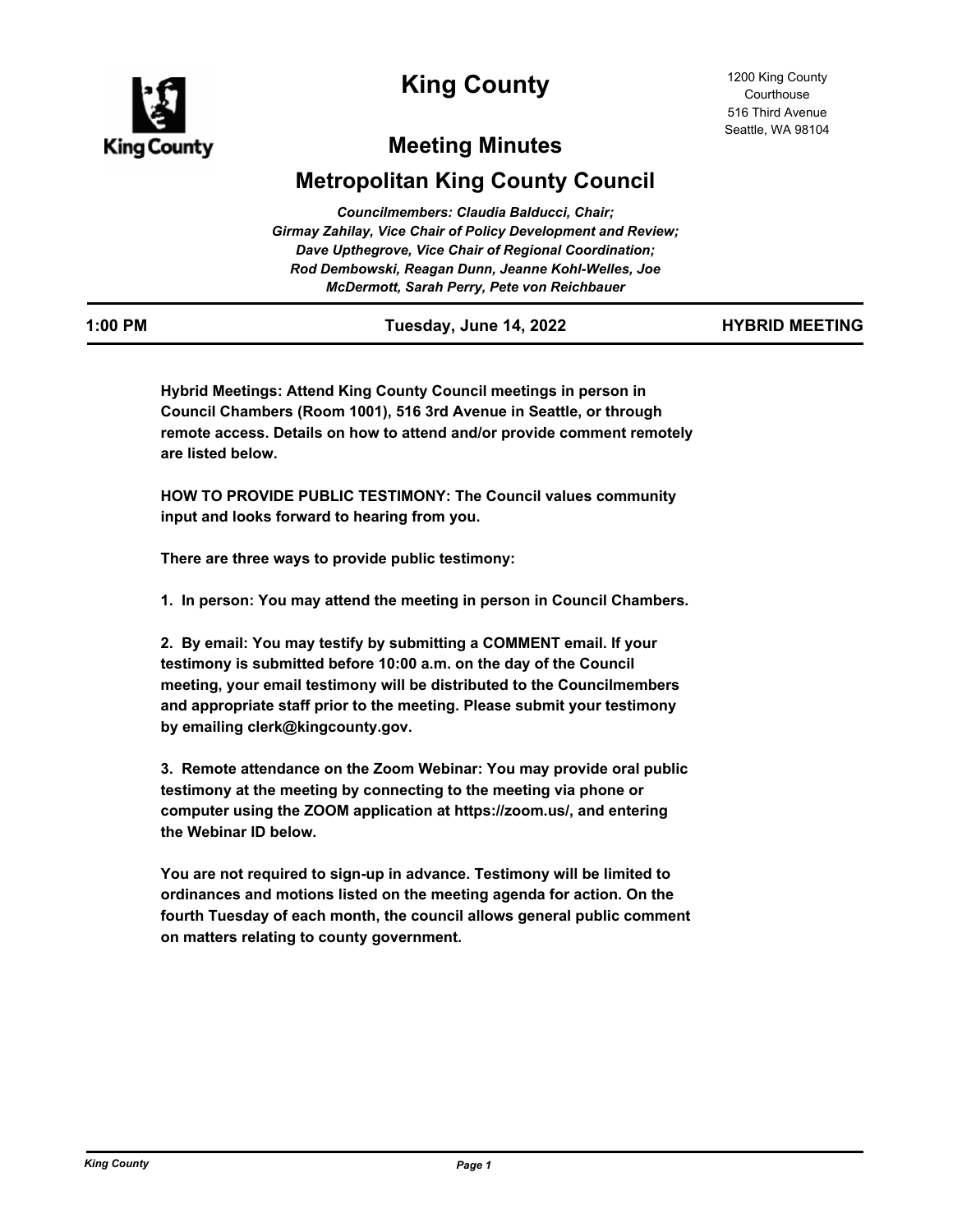

# **King County**

# **Meeting Minutes**

# **Metropolitan King County Council**

| Councilmembers: Claudia Balducci, Chair;                            |
|---------------------------------------------------------------------|
| <b>Girmay Zahilay, Vice Chair of Policy Development and Review;</b> |
| Dave Upthegrove, Vice Chair of Regional Coordination;               |
| Rod Dembowski, Reagan Dunn, Jeanne Kohl-Welles, Joe                 |
| McDermott, Sarah Perry, Pete von Reichbauer                         |

| 1:00 PM | Tuesday, June 14, 2022 | <b>HYBRID MEETING</b> |
|---------|------------------------|-----------------------|

**Hybrid Meetings: Attend King County Council meetings in person in Council Chambers (Room 1001), 516 3rd Avenue in Seattle, or through remote access. Details on how to attend and/or provide comment remotely are listed below.**

**HOW TO PROVIDE PUBLIC TESTIMONY: The Council values community input and looks forward to hearing from you.**

**There are three ways to provide public testimony:**

**1. In person: You may attend the meeting in person in Council Chambers.**

**2. By email: You may testify by submitting a COMMENT email. If your testimony is submitted before 10:00 a.m. on the day of the Council meeting, your email testimony will be distributed to the Councilmembers and appropriate staff prior to the meeting. Please submit your testimony by emailing clerk@kingcounty.gov.**

**3. Remote attendance on the Zoom Webinar: You may provide oral public testimony at the meeting by connecting to the meeting via phone or computer using the ZOOM application at https://zoom.us/, and entering the Webinar ID below.**

**You are not required to sign-up in advance. Testimony will be limited to ordinances and motions listed on the meeting agenda for action. On the fourth Tuesday of each month, the council allows general public comment on matters relating to county government.**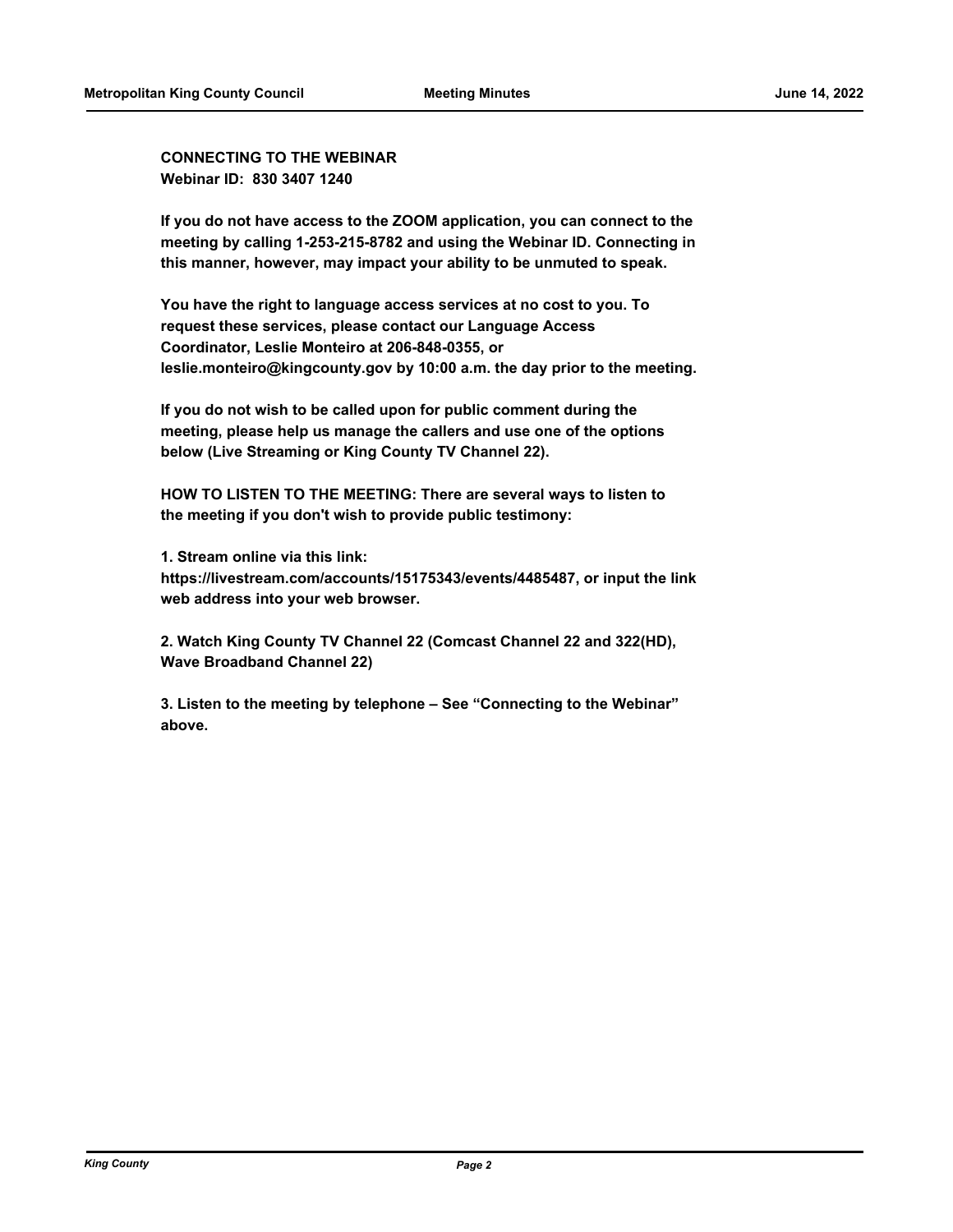**CONNECTING TO THE WEBINAR Webinar ID: 830 3407 1240**

**If you do not have access to the ZOOM application, you can connect to the meeting by calling 1-253-215-8782 and using the Webinar ID. Connecting in this manner, however, may impact your ability to be unmuted to speak.**

**You have the right to language access services at no cost to you. To request these services, please contact our Language Access Coordinator, Leslie Monteiro at 206-848-0355, or leslie.monteiro@kingcounty.gov by 10:00 a.m. the day prior to the meeting.**

**If you do not wish to be called upon for public comment during the meeting, please help us manage the callers and use one of the options below (Live Streaming or King County TV Channel 22).**

**HOW TO LISTEN TO THE MEETING: There are several ways to listen to the meeting if you don't wish to provide public testimony:**

**1. Stream online via this link: https://livestream.com/accounts/15175343/events/4485487, or input the link web address into your web browser.**

**2. Watch King County TV Channel 22 (Comcast Channel 22 and 322(HD), Wave Broadband Channel 22)**

**3. Listen to the meeting by telephone – See "Connecting to the Webinar" above.**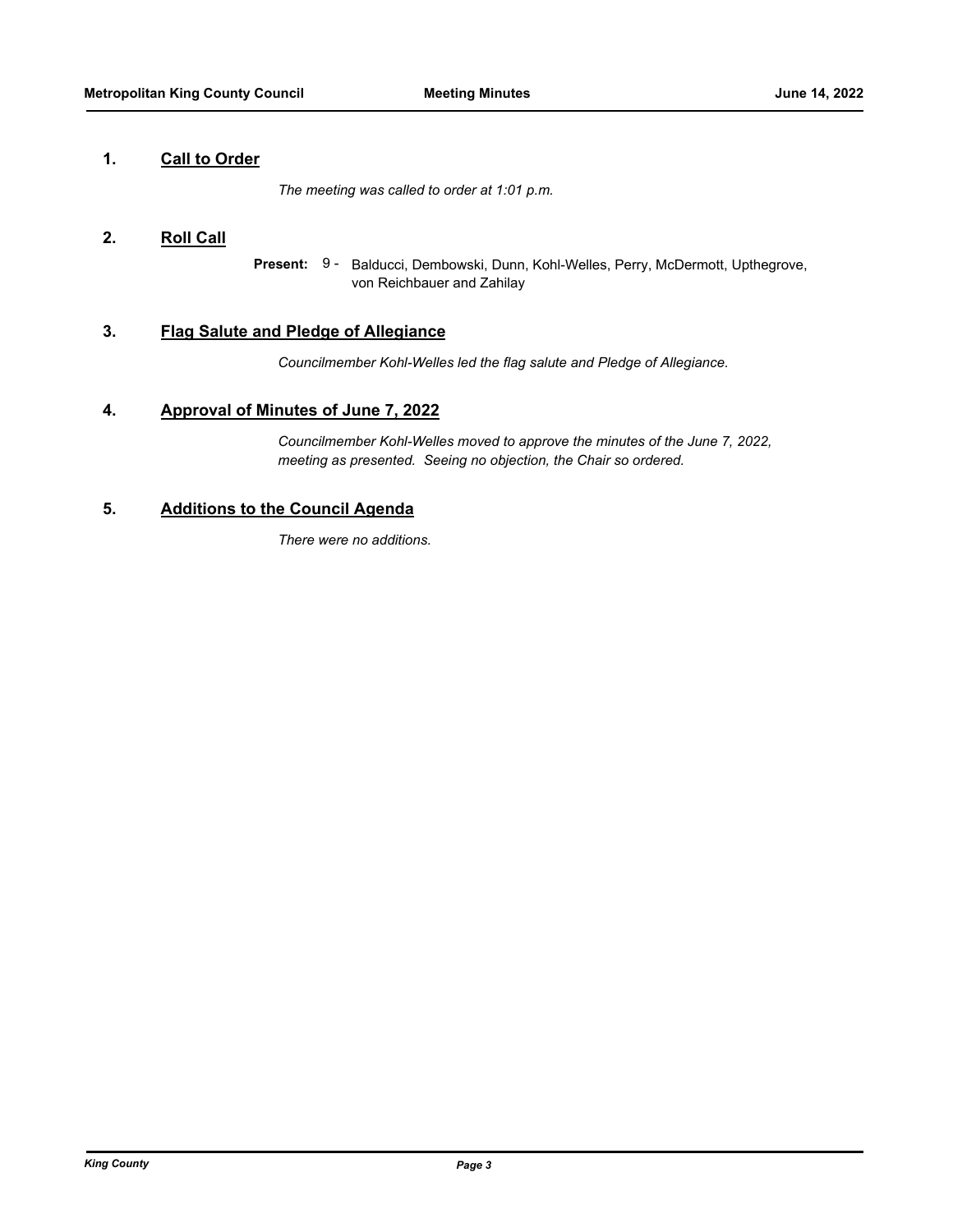### **1. Call to Order**

*The meeting was called to order at 1:01 p.m.*

### **2. Roll Call**

Present: 9 - Balducci, Dembowski, Dunn, Kohl-Welles, Perry, McDermott, Upthegrove, von Reichbauer and Zahilay

## **3. Flag Salute and Pledge of Allegiance**

*Councilmember Kohl-Welles led the flag salute and Pledge of Allegiance.*

### **4. Approval of Minutes of June 7, 2022**

*Councilmember Kohl-Welles moved to approve the minutes of the June 7, 2022, meeting as presented. Seeing no objection, the Chair so ordered.*

## **5. Additions to the Council Agenda**

*There were no additions.*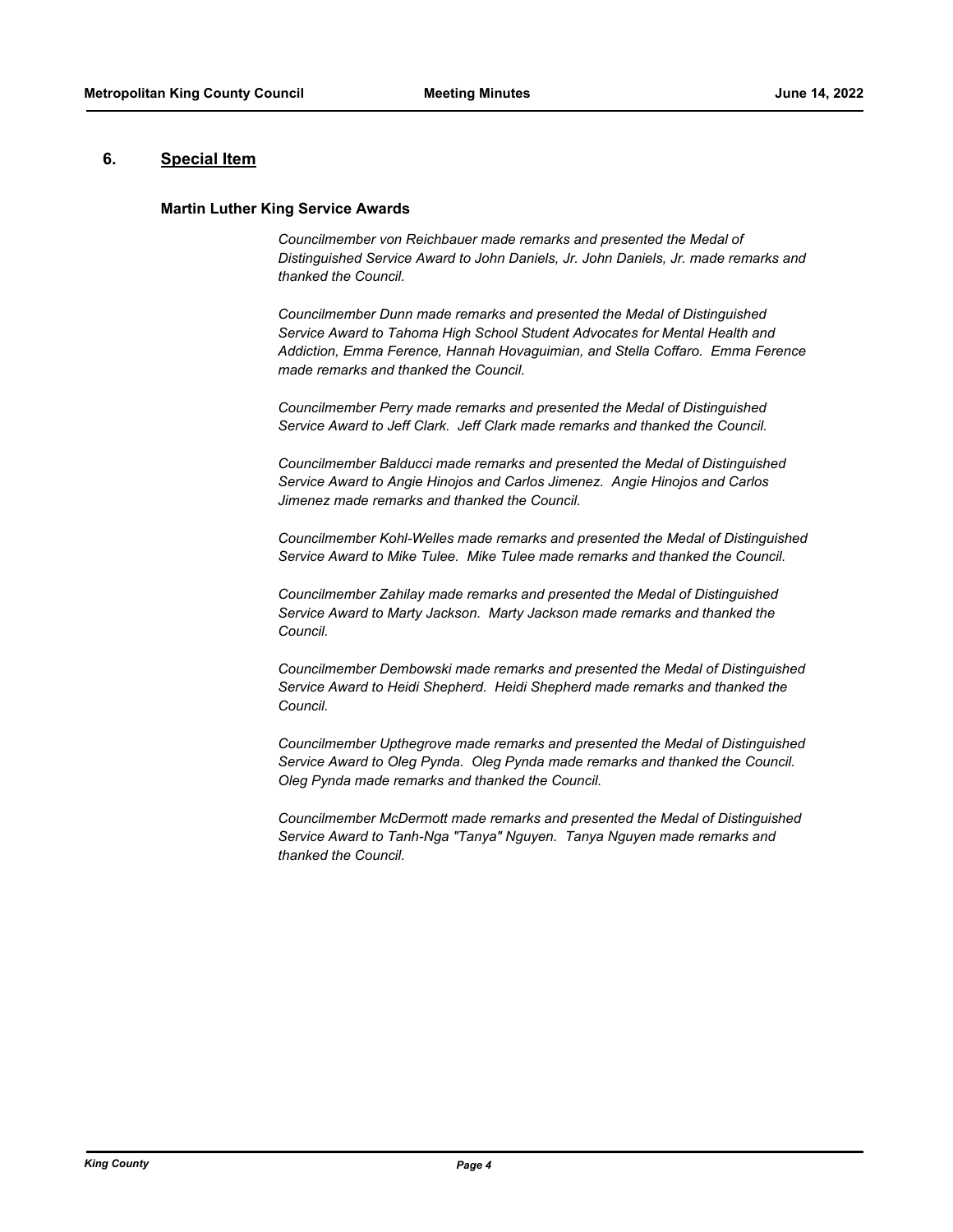### **6. Special Item**

### **Martin Luther King Service Awards**

*Councilmember von Reichbauer made remarks and presented the Medal of Distinguished Service Award to John Daniels, Jr. John Daniels, Jr. made remarks and thanked the Council.*

*Councilmember Dunn made remarks and presented the Medal of Distinguished Service Award to Tahoma High School Student Advocates for Mental Health and Addiction, Emma Ference, Hannah Hovaguimian, and Stella Coffaro. Emma Ference made remarks and thanked the Council.*

*Councilmember Perry made remarks and presented the Medal of Distinguished Service Award to Jeff Clark. Jeff Clark made remarks and thanked the Council.*

*Councilmember Balducci made remarks and presented the Medal of Distinguished Service Award to Angie Hinojos and Carlos Jimenez. Angie Hinojos and Carlos Jimenez made remarks and thanked the Council.*

*Councilmember Kohl-Welles made remarks and presented the Medal of Distinguished Service Award to Mike Tulee. Mike Tulee made remarks and thanked the Council.*

*Councilmember Zahilay made remarks and presented the Medal of Distinguished Service Award to Marty Jackson. Marty Jackson made remarks and thanked the Council.*

*Councilmember Dembowski made remarks and presented the Medal of Distinguished Service Award to Heidi Shepherd. Heidi Shepherd made remarks and thanked the Council.*

*Councilmember Upthegrove made remarks and presented the Medal of Distinguished Service Award to Oleg Pynda. Oleg Pynda made remarks and thanked the Council. Oleg Pynda made remarks and thanked the Council.*

*Councilmember McDermott made remarks and presented the Medal of Distinguished Service Award to Tanh-Nga "Tanya" Nguyen. Tanya Nguyen made remarks and thanked the Council.*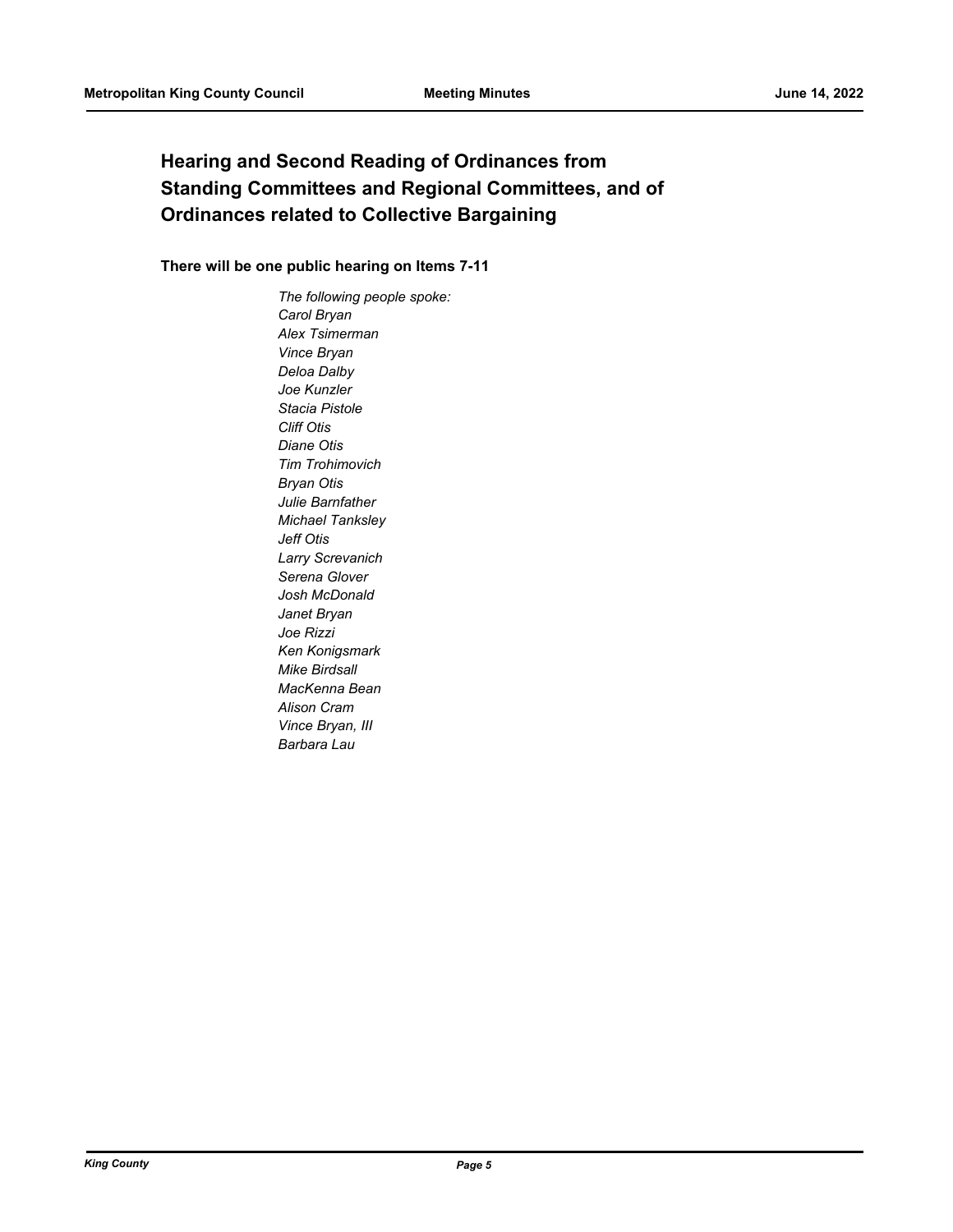# **Hearing and Second Reading of Ordinances from Standing Committees and Regional Committees, and of Ordinances related to Collective Bargaining**

### **There will be one public hearing on Items 7-11**

*The following people spoke: Carol Bryan Alex Tsimerman Vince Bryan Deloa Dalby Joe Kunzler Stacia Pistole Cliff Otis Diane Otis Tim Trohimovich Bryan Otis Julie Barnfather Michael Tanksley Jeff Otis Larry Screvanich Serena Glover Josh McDonald Janet Bryan Joe Rizzi Ken Konigsmark Mike Birdsall MacKenna Bean Alison Cram Vince Bryan, III Barbara Lau*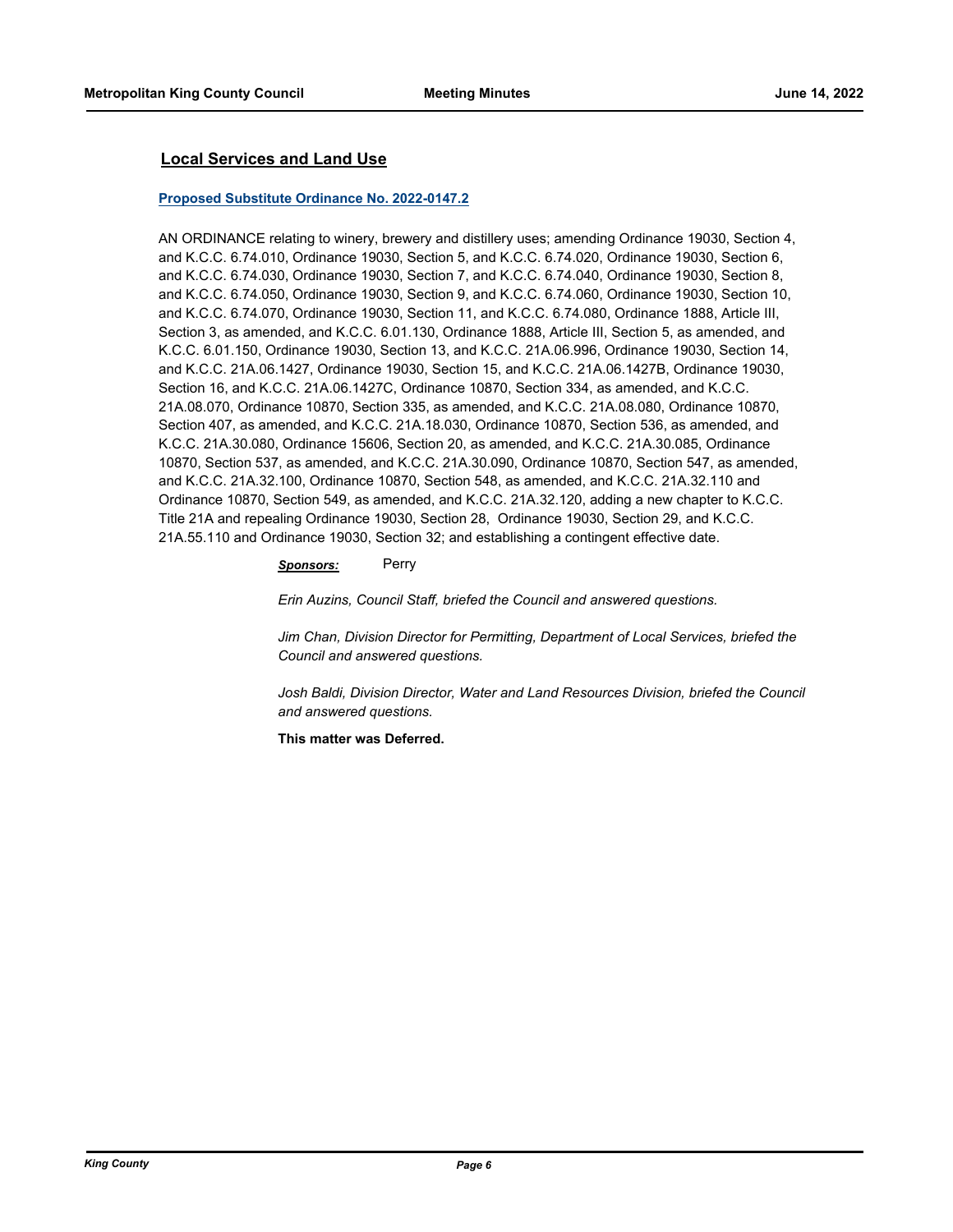### **Local Services and Land Use**

#### **[Proposed Substitute Ordinance No. 2022-0147.2](http://kingcounty.legistar.com/gateway.aspx?m=l&id=/matter.aspx?key=23007)**

AN ORDINANCE relating to winery, brewery and distillery uses; amending Ordinance 19030, Section 4, and K.C.C. 6.74.010, Ordinance 19030, Section 5, and K.C.C. 6.74.020, Ordinance 19030, Section 6, and K.C.C. 6.74.030, Ordinance 19030, Section 7, and K.C.C. 6.74.040, Ordinance 19030, Section 8, and K.C.C. 6.74.050, Ordinance 19030, Section 9, and K.C.C. 6.74.060, Ordinance 19030, Section 10, and K.C.C. 6.74.070, Ordinance 19030, Section 11, and K.C.C. 6.74.080, Ordinance 1888, Article III, Section 3, as amended, and K.C.C. 6.01.130, Ordinance 1888, Article III, Section 5, as amended, and K.C.C. 6.01.150, Ordinance 19030, Section 13, and K.C.C. 21A.06.996, Ordinance 19030, Section 14, and K.C.C. 21A.06.1427, Ordinance 19030, Section 15, and K.C.C. 21A.06.1427B, Ordinance 19030, Section 16, and K.C.C. 21A.06.1427C, Ordinance 10870, Section 334, as amended, and K.C.C. 21A.08.070, Ordinance 10870, Section 335, as amended, and K.C.C. 21A.08.080, Ordinance 10870, Section 407, as amended, and K.C.C. 21A.18.030, Ordinance 10870, Section 536, as amended, and K.C.C. 21A.30.080, Ordinance 15606, Section 20, as amended, and K.C.C. 21A.30.085, Ordinance 10870, Section 537, as amended, and K.C.C. 21A.30.090, Ordinance 10870, Section 547, as amended, and K.C.C. 21A.32.100, Ordinance 10870, Section 548, as amended, and K.C.C. 21A.32.110 and Ordinance 10870, Section 549, as amended, and K.C.C. 21A.32.120, adding a new chapter to K.C.C. Title 21A and repealing Ordinance 19030, Section 28, Ordinance 19030, Section 29, and K.C.C. 21A.55.110 and Ordinance 19030, Section 32; and establishing a contingent effective date.

#### *Sponsors:* Perry

*Erin Auzins, Council Staff, briefed the Council and answered questions.*

*Jim Chan, Division Director for Permitting, Department of Local Services, briefed the Council and answered questions.*

Josh Baldi, Division Director, Water and Land Resources Division, briefed the Council *and answered questions.*

**This matter was Deferred.**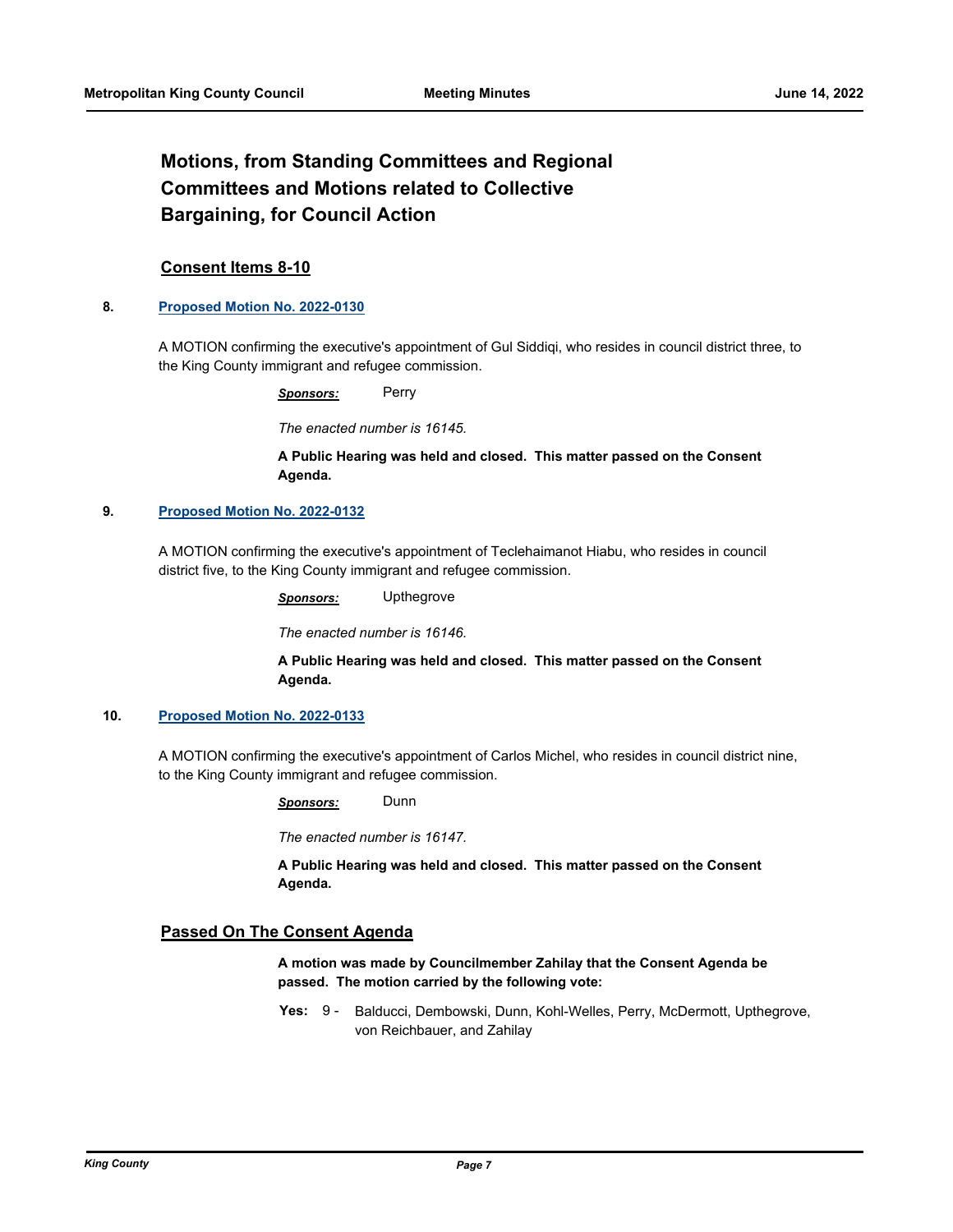# **Motions, from Standing Committees and Regional Committees and Motions related to Collective Bargaining, for Council Action**

### **Consent Items 8-10**

### **8. [Proposed Motion No. 2022-0130](http://kingcounty.legistar.com/gateway.aspx?m=l&id=/matter.aspx?key=22978)**

A MOTION confirming the executive's appointment of Gul Siddiqi, who resides in council district three, to the King County immigrant and refugee commission.

*Sponsors:* Perry

*The enacted number is 16145.*

### **A Public Hearing was held and closed. This matter passed on the Consent Agenda.**

### **9. [Proposed Motion No. 2022-0132](http://kingcounty.legistar.com/gateway.aspx?m=l&id=/matter.aspx?key=22980)**

A MOTION confirming the executive's appointment of Teclehaimanot Hiabu, who resides in council district five, to the King County immigrant and refugee commission.

*Sponsors:* Upthegrove

*The enacted number is 16146.*

**A Public Hearing was held and closed. This matter passed on the Consent Agenda.**

### **10. [Proposed Motion No. 2022-0133](http://kingcounty.legistar.com/gateway.aspx?m=l&id=/matter.aspx?key=22981)**

A MOTION confirming the executive's appointment of Carlos Michel, who resides in council district nine, to the King County immigrant and refugee commission.

*Sponsors:* Dunn

*The enacted number is 16147.*

**A Public Hearing was held and closed. This matter passed on the Consent Agenda.**

### **Passed On The Consent Agenda**

**A motion was made by Councilmember Zahilay that the Consent Agenda be passed. The motion carried by the following vote:**

Yes: 9 - Balducci, Dembowski, Dunn, Kohl-Welles, Perry, McDermott, Upthegrove, von Reichbauer, and Zahilay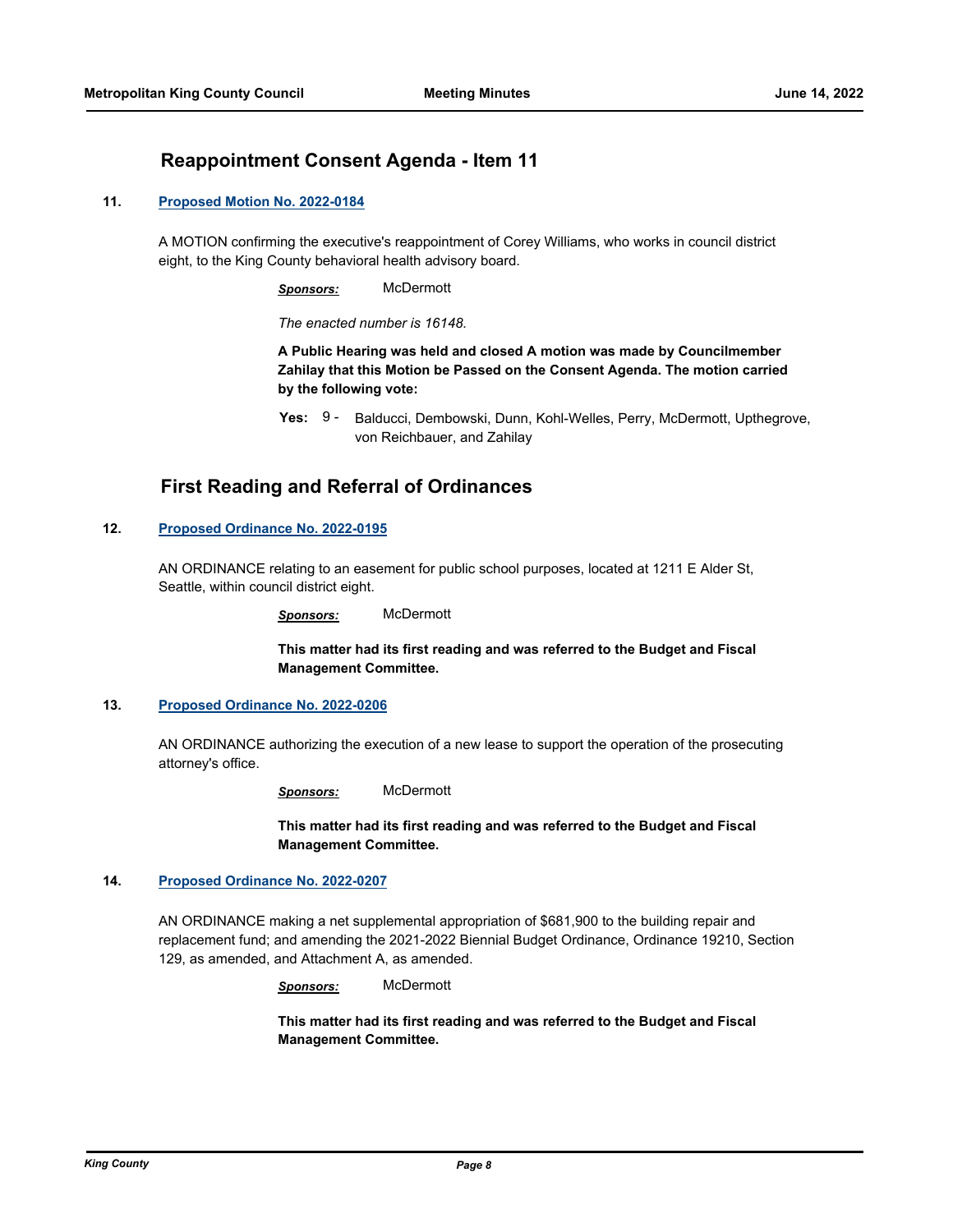## **Reappointment Consent Agenda - Item 11**

### **11. [Proposed Motion No. 2022-0184](http://kingcounty.legistar.com/gateway.aspx?m=l&id=/matter.aspx?key=23102)**

A MOTION confirming the executive's reappointment of Corey Williams, who works in council district eight, to the King County behavioral health advisory board.

*Sponsors:* McDermott

*The enacted number is 16148.*

**A Public Hearing was held and closed A motion was made by Councilmember Zahilay that this Motion be Passed on the Consent Agenda. The motion carried by the following vote:**

# **First Reading and Referral of Ordinances**

### **12. [Proposed Ordinance No. 2022-0195](http://kingcounty.legistar.com/gateway.aspx?m=l&id=/matter.aspx?key=23115)**

AN ORDINANCE relating to an easement for public school purposes, located at 1211 E Alder St, Seattle, within council district eight.

*Sponsors:* McDermott

**This matter had its first reading and was referred to the Budget and Fiscal Management Committee.**

### **13. [Proposed Ordinance No. 2022-0206](http://kingcounty.legistar.com/gateway.aspx?m=l&id=/matter.aspx?key=23145)**

AN ORDINANCE authorizing the execution of a new lease to support the operation of the prosecuting attorney's office.

*Sponsors:* McDermott

**This matter had its first reading and was referred to the Budget and Fiscal Management Committee.**

#### **14. [Proposed Ordinance No. 2022-0207](http://kingcounty.legistar.com/gateway.aspx?m=l&id=/matter.aspx?key=23146)**

AN ORDINANCE making a net supplemental appropriation of \$681,900 to the building repair and replacement fund; and amending the 2021-2022 Biennial Budget Ordinance, Ordinance 19210, Section 129, as amended, and Attachment A, as amended.

*Sponsors:* McDermott

**This matter had its first reading and was referred to the Budget and Fiscal Management Committee.**

Yes: 9 - Balducci, Dembowski, Dunn, Kohl-Welles, Perry, McDermott, Upthegrove, von Reichbauer, and Zahilay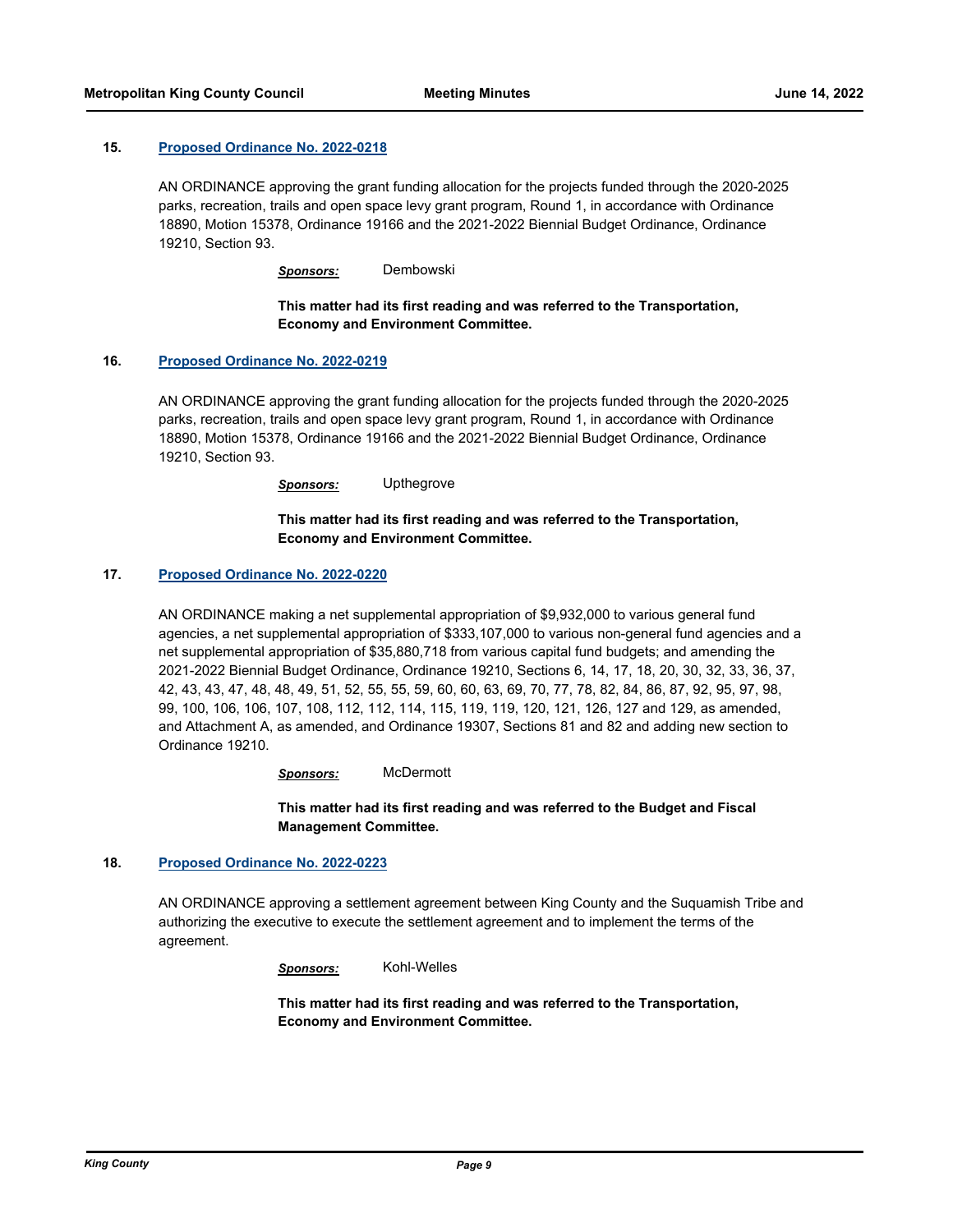### **15. [Proposed Ordinance No. 2022-0218](http://kingcounty.legistar.com/gateway.aspx?m=l&id=/matter.aspx?key=23166)**

AN ORDINANCE approving the grant funding allocation for the projects funded through the 2020-2025 parks, recreation, trails and open space levy grant program, Round 1, in accordance with Ordinance 18890, Motion 15378, Ordinance 19166 and the 2021-2022 Biennial Budget Ordinance, Ordinance 19210, Section 93.

*Sponsors:* Dembowski

### **This matter had its first reading and was referred to the Transportation, Economy and Environment Committee.**

#### **16. [Proposed Ordinance No. 2022-0219](http://kingcounty.legistar.com/gateway.aspx?m=l&id=/matter.aspx?key=23167)**

AN ORDINANCE approving the grant funding allocation for the projects funded through the 2020-2025 parks, recreation, trails and open space levy grant program, Round 1, in accordance with Ordinance 18890, Motion 15378, Ordinance 19166 and the 2021-2022 Biennial Budget Ordinance, Ordinance 19210, Section 93.

*Sponsors:* Upthegrove

### **This matter had its first reading and was referred to the Transportation, Economy and Environment Committee.**

### **17. [Proposed Ordinance No. 2022-0220](http://kingcounty.legistar.com/gateway.aspx?m=l&id=/matter.aspx?key=23168)**

AN ORDINANCE making a net supplemental appropriation of \$9,932,000 to various general fund agencies, a net supplemental appropriation of \$333,107,000 to various non-general fund agencies and a net supplemental appropriation of \$35,880,718 from various capital fund budgets; and amending the 2021-2022 Biennial Budget Ordinance, Ordinance 19210, Sections 6, 14, 17, 18, 20, 30, 32, 33, 36, 37, 42, 43, 43, 47, 48, 48, 49, 51, 52, 55, 55, 59, 60, 60, 63, 69, 70, 77, 78, 82, 84, 86, 87, 92, 95, 97, 98, 99, 100, 106, 106, 107, 108, 112, 112, 114, 115, 119, 119, 120, 121, 126, 127 and 129, as amended, and Attachment A, as amended, and Ordinance 19307, Sections 81 and 82 and adding new section to Ordinance 19210.

*Sponsors:* McDermott

**This matter had its first reading and was referred to the Budget and Fiscal Management Committee.**

### **18. [Proposed Ordinance No. 2022-0223](http://kingcounty.legistar.com/gateway.aspx?m=l&id=/matter.aspx?key=23176)**

AN ORDINANCE approving a settlement agreement between King County and the Suquamish Tribe and authorizing the executive to execute the settlement agreement and to implement the terms of the agreement.

*Sponsors:* Kohl-Welles

**This matter had its first reading and was referred to the Transportation, Economy and Environment Committee.**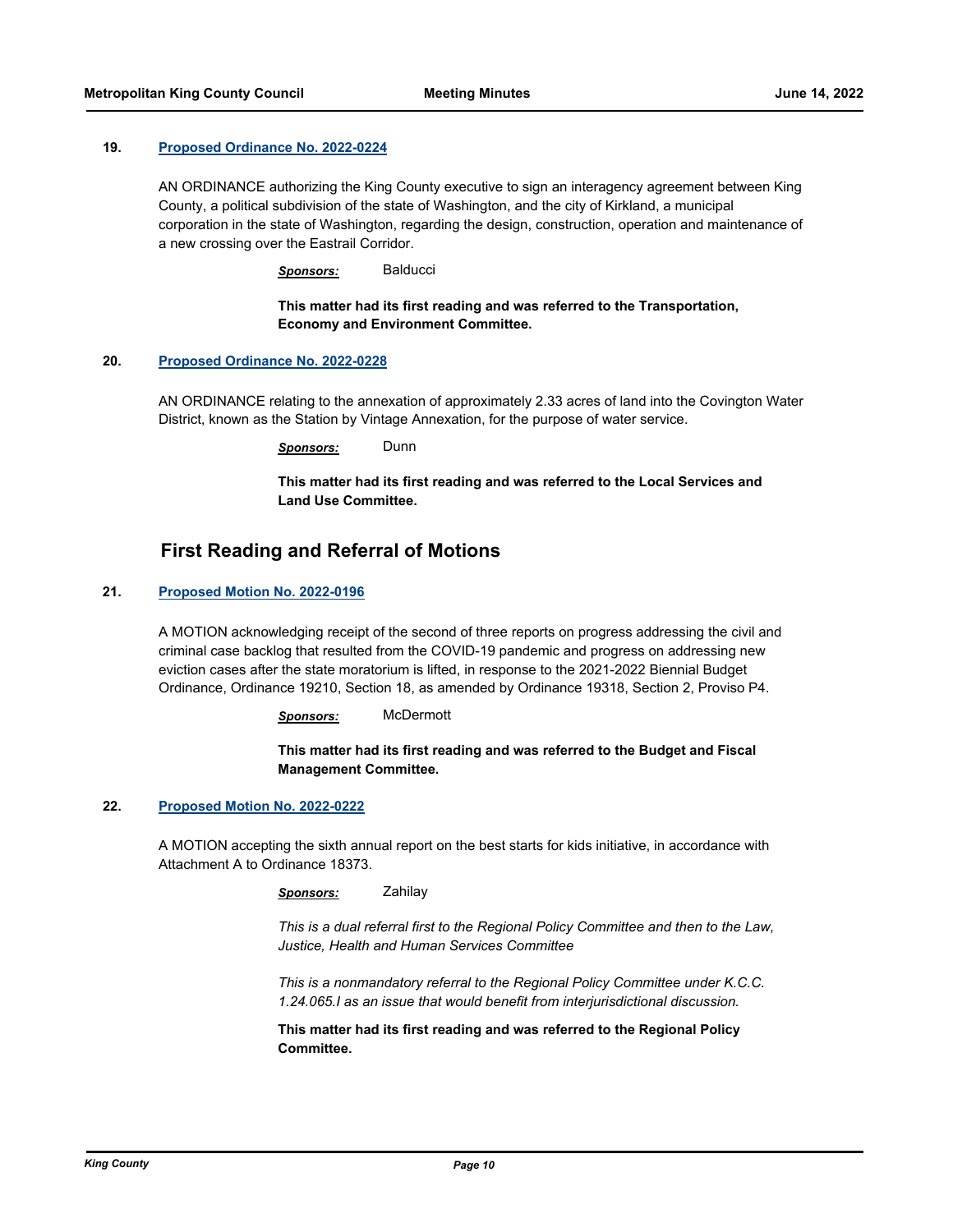#### **19. [Proposed Ordinance No. 2022-0224](http://kingcounty.legistar.com/gateway.aspx?m=l&id=/matter.aspx?key=23178)**

AN ORDINANCE authorizing the King County executive to sign an interagency agreement between King County, a political subdivision of the state of Washington, and the city of Kirkland, a municipal corporation in the state of Washington, regarding the design, construction, operation and maintenance of a new crossing over the Eastrail Corridor.

*Sponsors:* Balducci

### **This matter had its first reading and was referred to the Transportation, Economy and Environment Committee.**

#### **20. [Proposed Ordinance No. 2022-0228](http://kingcounty.legistar.com/gateway.aspx?m=l&id=/matter.aspx?key=23183)**

AN ORDINANCE relating to the annexation of approximately 2.33 acres of land into the Covington Water District, known as the Station by Vintage Annexation, for the purpose of water service.

*Sponsors:* Dunn

**This matter had its first reading and was referred to the Local Services and Land Use Committee.**

# **First Reading and Referral of Motions**

### **21. [Proposed Motion No. 2022-0196](http://kingcounty.legistar.com/gateway.aspx?m=l&id=/matter.aspx?key=23116)**

A MOTION acknowledging receipt of the second of three reports on progress addressing the civil and criminal case backlog that resulted from the COVID-19 pandemic and progress on addressing new eviction cases after the state moratorium is lifted, in response to the 2021-2022 Biennial Budget Ordinance, Ordinance 19210, Section 18, as amended by Ordinance 19318, Section 2, Proviso P4.

*Sponsors:* McDermott

**This matter had its first reading and was referred to the Budget and Fiscal Management Committee.**

#### **22. [Proposed Motion No. 2022-0222](http://kingcounty.legistar.com/gateway.aspx?m=l&id=/matter.aspx?key=23175)**

A MOTION accepting the sixth annual report on the best starts for kids initiative, in accordance with Attachment A to Ordinance 18373.

*Sponsors:* Zahilay

*This is a dual referral first to the Regional Policy Committee and then to the Law, Justice, Health and Human Services Committee*

*This is a nonmandatory referral to the Regional Policy Committee under K.C.C. 1.24.065.I as an issue that would benefit from interjurisdictional discussion.*

**This matter had its first reading and was referred to the Regional Policy Committee.**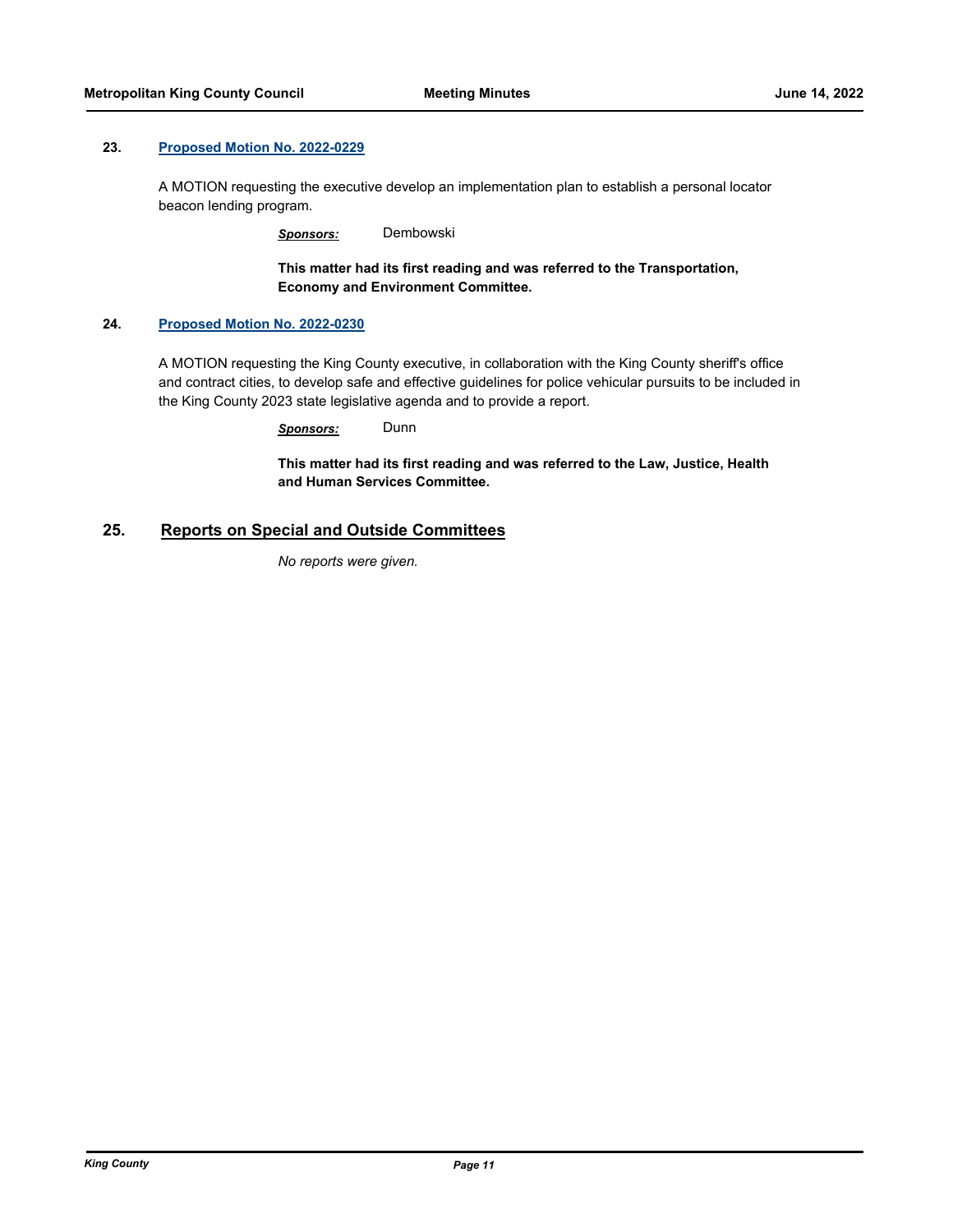### **23. [Proposed Motion No. 2022-0229](http://kingcounty.legistar.com/gateway.aspx?m=l&id=/matter.aspx?key=23184)**

A MOTION requesting the executive develop an implementation plan to establish a personal locator beacon lending program.

*Sponsors:* Dembowski

**This matter had its first reading and was referred to the Transportation, Economy and Environment Committee.**

### **24. [Proposed Motion No. 2022-0230](http://kingcounty.legistar.com/gateway.aspx?m=l&id=/matter.aspx?key=23185)**

A MOTION requesting the King County executive, in collaboration with the King County sheriff's office and contract cities, to develop safe and effective guidelines for police vehicular pursuits to be included in the King County 2023 state legislative agenda and to provide a report.

*Sponsors:* Dunn

**This matter had its first reading and was referred to the Law, Justice, Health and Human Services Committee.**

### **25. Reports on Special and Outside Committees**

*No reports were given.*